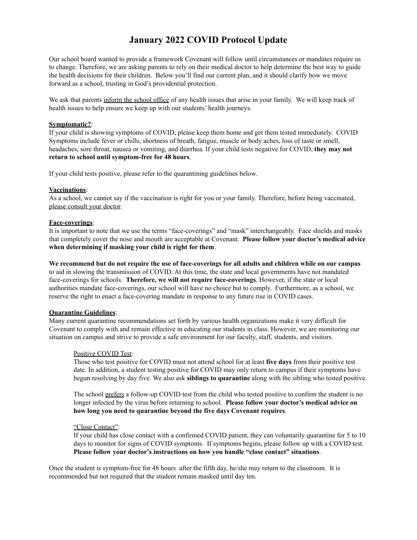# **January 2022 COVID Protocol Update**

Our school board wanted to provide a framework Covenant will follow until circumstances or mandates require us to change. Therefore, we are asking parents to rely on their medical doctor to help determine the best way to guide the health decisions for their children. Below you'll find our current plan, and it should clarify how we move forward as a school, trusting in God's providential protection.

We ask that parents inform the school office of any health issues that arise in your family. We will keep track of health issues to help ensure we keep up with our students' health journeys.

# **Symptomatic?**:

If your child is showing symptoms of COVID, please keep them home and get them tested immediately. COVID Symptoms include fever or chills, shortness of breath, fatigue, muscle or body aches, loss of taste or smell, headaches, sore throat, nausea or vomiting, and diarrhea. If your child tests negative for COVID, **they may not return to school until symptom-free for 48 hours**.

If your child tests positive, please refer to the quarantining guidelines below.

# **Vaccinations**:

As a school, we cannot say if the vaccination is right for you or your family. Therefore, before being vaccinated, please consult your doctor.

## **Face-coverings**:

It is important to note that we use the terms "face-coverings" and "mask" interchangeably. Face shields and masks that completely cover the nose and mouth are acceptable at Covenant. **Please follow your doctor's medical advice when determining if masking your child is right for them**.

We recommend but do not require the use of face-coverings for all adults and children while on our campus to aid in slowing the transmission of COVID. At this time, the state and local governments have not mandated face-coverings for schools. **Therefore, we will not require face-coverings**. However, if the state or local authorities mandate face-coverings, our school will have no choice but to comply. Furthermore, as a school, we reserve the right to enact a face-covering mandate in response to any future rise in COVID cases.

## **Quarantine Guidelines**:

Many current quarantine recommendations set forth by various health organizations make it very difficult for Covenant to comply with and remain effective in educating our students in class. However, we are monitoring our situation on campus and strive to provide a safe environment for our faculty, staff, students, and visitors.

## Positive COVID Test:

Those who test positive for COVID must not attend school for at least **five days** from their positive test date. In addition, a student testing positive for COVID may only return to campus if their symptoms have begun resolving by day five. We also ask **siblings to quarantine** along with the sibling who tested positive.

The school prefers a follow-up COVID test from the child who tested positive to confirm the student is no longer infected by the virus before returning to school. **Please follow your doctor's medical advice on how long you need to quarantine beyond the five days Covenant requires**.

## "Close Contact":

If your child has close contact with a confirmed COVID patient, they can voluntarily quarantine for 5 to 10 days to monitor for signs of COVID symptoms. If symptoms begins, please follow up with a COVID test. **Please follow your doctor's instructions on how you handle "close contact" situations**.

Once the student is symptom-free for 48 hours after the fifth day, he/she may return to the classroom. It is recommended but not required that the student remain masked until day ten.